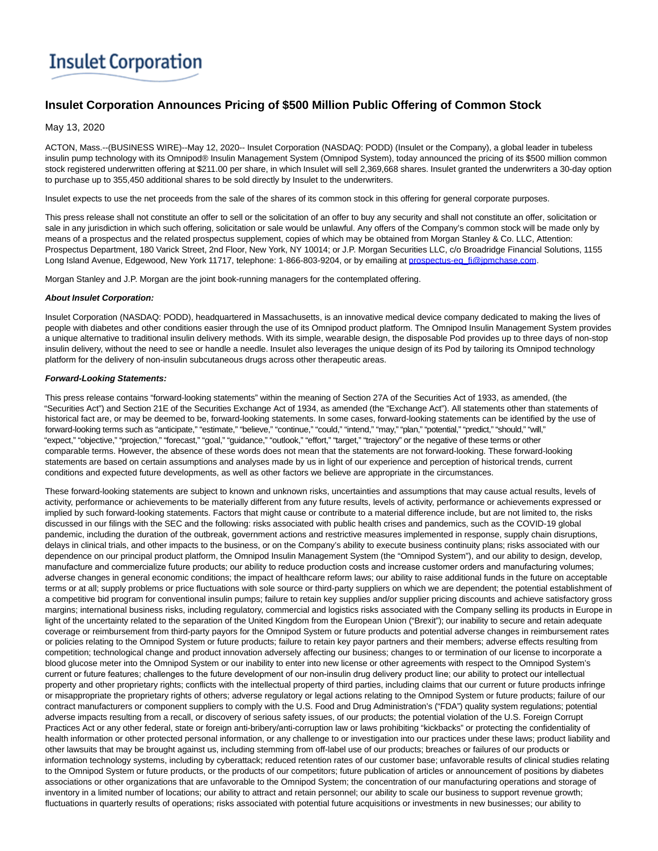# **Insulet Corporation**

# **Insulet Corporation Announces Pricing of \$500 Million Public Offering of Common Stock**

## May 13, 2020

ACTON, Mass.--(BUSINESS WIRE)--May 12, 2020-- Insulet Corporation (NASDAQ: PODD) (Insulet or the Company), a global leader in tubeless insulin pump technology with its Omnipod® Insulin Management System (Omnipod System), today announced the pricing of its \$500 million common stock registered underwritten offering at \$211.00 per share, in which Insulet will sell 2,369,668 shares. Insulet granted the underwriters a 30-day option to purchase up to 355,450 additional shares to be sold directly by Insulet to the underwriters.

Insulet expects to use the net proceeds from the sale of the shares of its common stock in this offering for general corporate purposes.

This press release shall not constitute an offer to sell or the solicitation of an offer to buy any security and shall not constitute an offer, solicitation or sale in any jurisdiction in which such offering, solicitation or sale would be unlawful. Any offers of the Company's common stock will be made only by means of a prospectus and the related prospectus supplement, copies of which may be obtained from Morgan Stanley & Co. LLC, Attention: Prospectus Department, 180 Varick Street, 2nd Floor, New York, NY 10014; or J.P. Morgan Securities LLC, c/o Broadridge Financial Solutions, 1155 Long Island Avenue, Edgewood, New York 11717, telephone: 1-866-803-9204, or by emailing at [prospectus-eq\\_fi@jpmchase.com.](mailto:prospectus-eq_fi@jpmchase.com)

Morgan Stanley and J.P. Morgan are the joint book-running managers for the contemplated offering.

### **About Insulet Corporation:**

Insulet Corporation (NASDAQ: PODD), headquartered in Massachusetts, is an innovative medical device company dedicated to making the lives of people with diabetes and other conditions easier through the use of its Omnipod product platform. The Omnipod Insulin Management System provides a unique alternative to traditional insulin delivery methods. With its simple, wearable design, the disposable Pod provides up to three days of non-stop insulin delivery, without the need to see or handle a needle. Insulet also leverages the unique design of its Pod by tailoring its Omnipod technology platform for the delivery of non-insulin subcutaneous drugs across other therapeutic areas.

### **Forward-Looking Statements:**

This press release contains "forward-looking statements" within the meaning of Section 27A of the Securities Act of 1933, as amended, (the "Securities Act") and Section 21E of the Securities Exchange Act of 1934, as amended (the "Exchange Act"). All statements other than statements of historical fact are, or may be deemed to be, forward-looking statements. In some cases, forward-looking statements can be identified by the use of forward-looking terms such as "anticipate," "estimate," "believe," "continue," "could," "intend," "may," "plan," "potential," "predict," "should," "will," "expect," "objective," "projection," "forecast," "goal," "guidance," "outlook," "effort," "target," "trajectory" or the negative of these terms or other comparable terms. However, the absence of these words does not mean that the statements are not forward-looking. These forward-looking statements are based on certain assumptions and analyses made by us in light of our experience and perception of historical trends, current conditions and expected future developments, as well as other factors we believe are appropriate in the circumstances.

These forward-looking statements are subject to known and unknown risks, uncertainties and assumptions that may cause actual results, levels of activity, performance or achievements to be materially different from any future results, levels of activity, performance or achievements expressed or implied by such forward-looking statements. Factors that might cause or contribute to a material difference include, but are not limited to, the risks discussed in our filings with the SEC and the following: risks associated with public health crises and pandemics, such as the COVID-19 global pandemic, including the duration of the outbreak, government actions and restrictive measures implemented in response, supply chain disruptions, delays in clinical trials, and other impacts to the business, or on the Company's ability to execute business continuity plans; risks associated with our dependence on our principal product platform, the Omnipod Insulin Management System (the "Omnipod System"), and our ability to design, develop, manufacture and commercialize future products; our ability to reduce production costs and increase customer orders and manufacturing volumes; adverse changes in general economic conditions; the impact of healthcare reform laws; our ability to raise additional funds in the future on acceptable terms or at all; supply problems or price fluctuations with sole source or third-party suppliers on which we are dependent; the potential establishment of a competitive bid program for conventional insulin pumps; failure to retain key supplies and/or supplier pricing discounts and achieve satisfactory gross margins; international business risks, including regulatory, commercial and logistics risks associated with the Company selling its products in Europe in light of the uncertainty related to the separation of the United Kingdom from the European Union ("Brexit"); our inability to secure and retain adequate coverage or reimbursement from third-party payors for the Omnipod System or future products and potential adverse changes in reimbursement rates or policies relating to the Omnipod System or future products; failure to retain key payor partners and their members; adverse effects resulting from competition; technological change and product innovation adversely affecting our business; changes to or termination of our license to incorporate a blood glucose meter into the Omnipod System or our inability to enter into new license or other agreements with respect to the Omnipod System's current or future features; challenges to the future development of our non-insulin drug delivery product line; our ability to protect our intellectual property and other proprietary rights; conflicts with the intellectual property of third parties, including claims that our current or future products infringe or misappropriate the proprietary rights of others; adverse regulatory or legal actions relating to the Omnipod System or future products; failure of our contract manufacturers or component suppliers to comply with the U.S. Food and Drug Administration's ("FDA") quality system regulations; potential adverse impacts resulting from a recall, or discovery of serious safety issues, of our products; the potential violation of the U.S. Foreign Corrupt Practices Act or any other federal, state or foreign anti-bribery/anti-corruption law or laws prohibiting "kickbacks" or protecting the confidentiality of health information or other protected personal information, or any challenge to or investigation into our practices under these laws; product liability and other lawsuits that may be brought against us, including stemming from off-label use of our products; breaches or failures of our products or information technology systems, including by cyberattack; reduced retention rates of our customer base; unfavorable results of clinical studies relating to the Omnipod System or future products, or the products of our competitors; future publication of articles or announcement of positions by diabetes associations or other organizations that are unfavorable to the Omnipod System; the concentration of our manufacturing operations and storage of inventory in a limited number of locations; our ability to attract and retain personnel; our ability to scale our business to support revenue growth; fluctuations in quarterly results of operations; risks associated with potential future acquisitions or investments in new businesses; our ability to